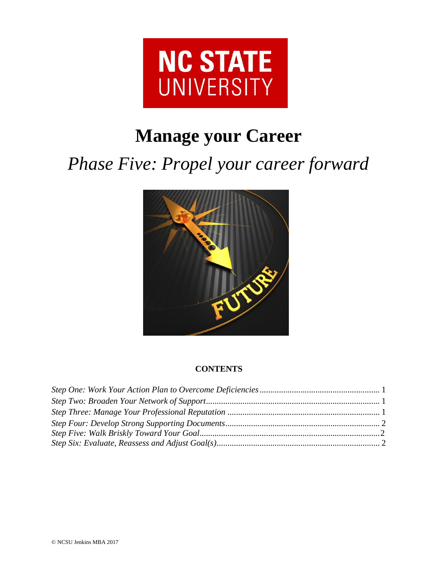

# **Manage your Career**

*Phase Five: Propel your career forward*



# **CONTENTS**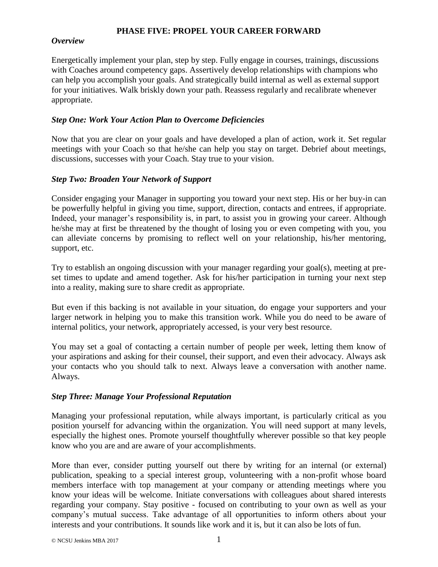# **PHASE FIVE: PROPEL YOUR CAREER FORWARD**

#### *Overview*

Energetically implement your plan, step by step. Fully engage in courses, trainings, discussions with Coaches around competency gaps. Assertively develop relationships with champions who can help you accomplish your goals. And strategically build internal as well as external support for your initiatives. Walk briskly down your path. Reassess regularly and recalibrate whenever appropriate.

# <span id="page-1-0"></span>*Step One: Work Your Action Plan to Overcome Deficiencies*

Now that you are clear on your goals and have developed a plan of action, work it. Set regular meetings with your Coach so that he/she can help you stay on target. Debrief about meetings, discussions, successes with your Coach. Stay true to your vision.

# <span id="page-1-1"></span>*Step Two: Broaden Your Network of Support*

Consider engaging your Manager in supporting you toward your next step. His or her buy-in can be powerfully helpful in giving you time, support, direction, contacts and entrees, if appropriate. Indeed, your manager's responsibility is, in part, to assist you in growing your career. Although he/she may at first be threatened by the thought of losing you or even competing with you, you can alleviate concerns by promising to reflect well on your relationship, his/her mentoring, support, etc.

Try to establish an ongoing discussion with your manager regarding your goal(s), meeting at preset times to update and amend together. Ask for his/her participation in turning your next step into a reality, making sure to share credit as appropriate.

But even if this backing is not available in your situation, do engage your supporters and your larger network in helping you to make this transition work. While you do need to be aware of internal politics, your network, appropriately accessed, is your very best resource.

You may set a goal of contacting a certain number of people per week, letting them know of your aspirations and asking for their counsel, their support, and even their advocacy. Always ask your contacts who you should talk to next. Always leave a conversation with another name. Always.

# <span id="page-1-2"></span>*Step Three: Manage Your Professional Reputation*

Managing your professional reputation, while always important, is particularly critical as you position yourself for advancing within the organization. You will need support at many levels, especially the highest ones. Promote yourself thoughtfully wherever possible so that key people know who you are and are aware of your accomplishments.

More than ever, consider putting yourself out there by writing for an internal (or external) publication, speaking to a special interest group, volunteering with a non-profit whose board members interface with top management at your company or attending meetings where you know your ideas will be welcome. Initiate conversations with colleagues about shared interests regarding your company. Stay positive - focused on contributing to your own as well as your company's mutual success. Take advantage of all opportunities to inform others about your interests and your contributions. It sounds like work and it is, but it can also be lots of fun.